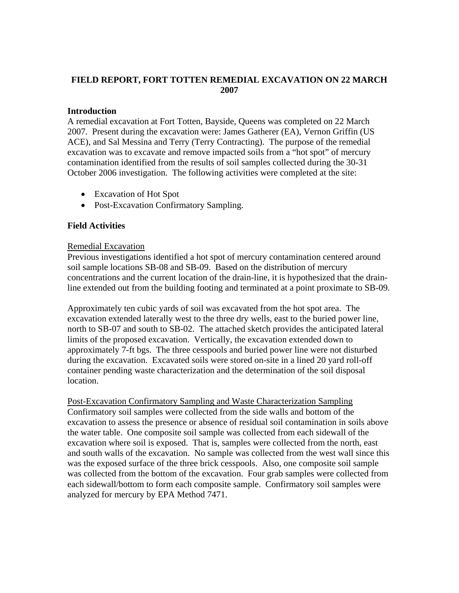# **FIELD REPORT, FORT TOTTEN REMEDIAL EXCAVATION ON 22 MARCH 2007**

### **Introduction**

A remedial excavation at Fort Totten, Bayside, Queens was completed on 22 March 2007. Present during the excavation were: James Gatherer (EA), Vernon Griffin (US ACE), and Sal Messina and Terry (Terry Contracting). The purpose of the remedial excavation was to excavate and remove impacted soils from a "hot spot" of mercury contamination identified from the results of soil samples collected during the 30-31 October 2006 investigation. The following activities were completed at the site:

- Excavation of Hot Spot
- Post-Excavation Confirmatory Sampling.

## **Field Activities**

### Remedial Excavation

Previous investigations identified a hot spot of mercury contamination centered around soil sample locations SB-08 and SB-09. Based on the distribution of mercury concentrations and the current location of the drain-line, it is hypothesized that the drainline extended out from the building footing and terminated at a point proximate to SB-09.

Approximately ten cubic yards of soil was excavated from the hot spot area. The excavation extended laterally west to the three dry wells, east to the buried power line, north to SB-07 and south to SB-02. The attached sketch provides the anticipated lateral limits of the proposed excavation. Vertically, the excavation extended down to approximately 7-ft bgs. The three cesspools and buried power line were not disturbed during the excavation. Excavated soils were stored on-site in a lined 20 yard roll-off container pending waste characterization and the determination of the soil disposal location.

Post-Excavation Confirmatory Sampling and Waste Characterization Sampling Confirmatory soil samples were collected from the side walls and bottom of the excavation to assess the presence or absence of residual soil contamination in soils above the water table. One composite soil sample was collected from each sidewall of the excavation where soil is exposed. That is, samples were collected from the north, east and south walls of the excavation. No sample was collected from the west wall since this was the exposed surface of the three brick cesspools. Also, one composite soil sample was collected from the bottom of the excavation. Four grab samples were collected from each sidewall/bottom to form each composite sample. Confirmatory soil samples were analyzed for mercury by EPA Method 7471.